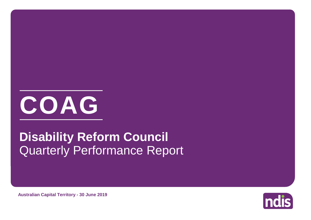

# Quarterly Performance Report **Disability Reform Council**

Indis

**Australian Capital Territory - 30 June 2019**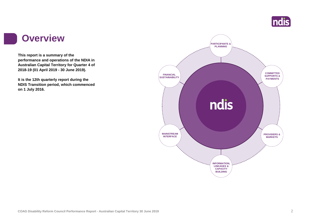

#### **Overview**

**This report is a summary of the performance and operations of the NDIA in Australian Capital Territory for Quarter 4 of 2018-19 (01 April 2019 - 30 June 2019).**

**It is the 12th quarterly report during the NDIS Transition period, which commenced on 1 July 2016.** 

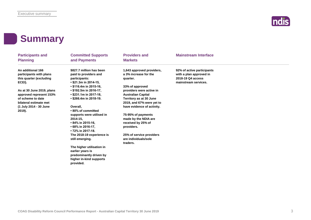

#### **Summary**

| <b>Participants and</b><br><b>Planning</b>                                                                                                                                                                                   | <b>Committed Supports</b><br>and Payments                                                                                                                                                                                                                                                                                                                                                                                                                                                                               | <b>Providers and</b><br><b>Markets</b>                                                                                                                                                                                                                                                                                                                                             | <b>Mainstream Interface</b>                                                                        |  |
|------------------------------------------------------------------------------------------------------------------------------------------------------------------------------------------------------------------------------|-------------------------------------------------------------------------------------------------------------------------------------------------------------------------------------------------------------------------------------------------------------------------------------------------------------------------------------------------------------------------------------------------------------------------------------------------------------------------------------------------------------------------|------------------------------------------------------------------------------------------------------------------------------------------------------------------------------------------------------------------------------------------------------------------------------------------------------------------------------------------------------------------------------------|----------------------------------------------------------------------------------------------------|--|
| An additional 166<br>participants with plans<br>this quarter (excluding<br>ECEI).<br>As at 30 June 2019, plans<br>approved represent 153%<br>of scheme to date<br>bilateral estimate met<br>(1 July 2014 - 30 June<br>2019). | \$827.7 million has been<br>paid to providers and<br>participants:<br>• \$21.3m in 2014-15,<br>• \$116.4m in 2015-16,<br>• \$192.5m in 2016-17,<br>$\cdot$ \$231.1m in 2017-18,<br>• \$266.4m in 2018-19.<br>Overall.<br>• 80% of committed<br>supports were utilised in<br>2014-15,<br>• 84% in 2015-16,<br>• 68% in 2016-17,<br>• 72% in 2017-18.<br>The 2018-19 experience is<br>still emerging.<br>The higher utilisation in<br>earlier years is<br>predominantly driven by<br>higher in-kind supports<br>provided. | 1,643 approved providers,<br>a 3% increase for the<br>quarter.<br>33% of approved<br>providers were active in<br><b>Australian Capital</b><br>Territory as at 30 June<br>2019, and 67% were yet to<br>have evidence of activity.<br>75-95% of payments<br>made by the NDIA are<br>received by 25% of<br>providers.<br>25% of service providers<br>are individuals/sole<br>traders. | 92% of active participants<br>with a plan approved in<br>2018-19 Q4 access<br>mainstream services. |  |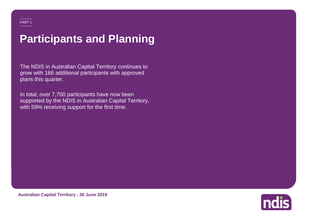# **Participants and Planning**

The NDIS in Australian Capital Territory continues to grow with 166 additional participants with approved plans this quarter.

In total, over 7,700 participants have now been supported by the NDIS in Australian Capital Territory, with 59% receiving support for the first time.

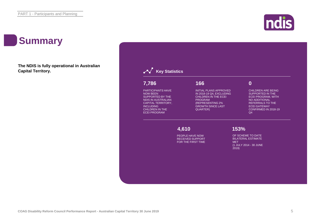

### **Summary**

**The NDIS is fully operational in Australian Capital Territory.**

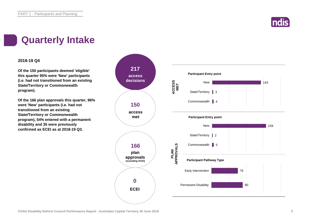

#### **Quarterly Intake**

#### **2018-19 Q4**

**Of the 150 participants deemed 'eligible' this quarter 95% were 'New' participants (i.e. had not transitioned from an existing State/Territory or Commonwealth program).**

**Of the 166 plan approvals this quarter, 96% were 'New' participants (i.e. had not transitioned from an existing State/Territory or Commonwealth program), 54% entered with a permanent disability and 35 were previously confirmed as ECEI as at 2018-19 Q3.**

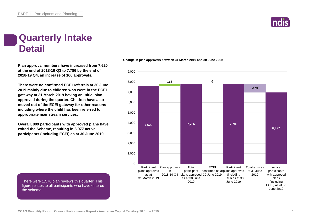

#### **Quarterly Intake Detail**

**Plan approval numbers have increased from 7,620 at the end of 2018-19 Q3 to 7,786 by the end of 2018-19 Q4, an increase of 166 approvals.**

**There were no confirmed ECEI referrals at 30 June 2019 mainly due to children who were in the ECEI gateway at 31 March 2019 having an initial plan approved during the quarter. Children have also moved out of the ECEI gateway for other reasons including where the child has been referred to appropriate mainstream services.**

**Overall, 809 participants with approved plans have exited the Scheme, resulting in 6,977 active participants (including ECEI) as at 30 June 2019.**

There were 1,570 plan reviews this quarter. This figure relates to all participants who have entered the scheme.

#### **Change in plan approvals between 31 March 2019 and 30 June 2019**



**COAG Disability Reform Council Performance Report - Australian Capital Territory 30 June 2019** 7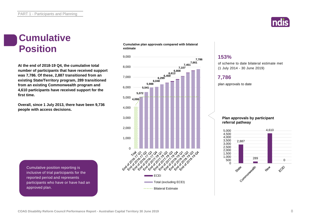

#### **Cumulative Position**

**At the end of 2018-19 Q4, the cumulative total number of participants that have received support was 7,786. Of these, 2,887 transitioned from an existing State/Territory program, 289 transitioned from an existing Commonwealth program and 4,610 participants have received support for the first time.**

**Overall, since 1 July 2013, there have been 9,736 people with access decisions.**

**Cumulative plan approvals compared with bilateral estimate**



#### **153%**

of scheme to date bilateral estimate met (1 July 2014 - 30 June 2019)

#### **7,786**

plan approvals to date

**Plan approvals by participant referral pathway**



Cumulative position reporting is inclusive of trial participants for the reported period and represents participants who have or have had an approved plan.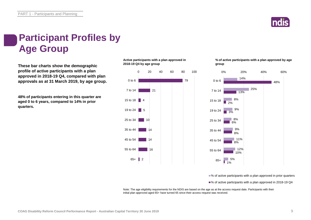

## **Participant Profiles by Age Group**

**These bar charts show the demographic profile of active participants with a plan approved in 2018-19 Q4, compared with plan approvals as at 31 March 2019, by age group.**

**48% of participants entering in this quarter are aged 0 to 6 years, compared to 14% in prior quarters.**

**Active participants with a plan approved in 2018-19 Q4 by age group**



**% of active participants with a plan approved by age group**



■% of active participants with a plan approved in prior quarters

■% of active participants with a plan approved in 2018-19 Q4

Note: The age eligibility requirements for the NDIS are based on the age as at the access request date. Participants with their initial plan approved aged 65+ have turned 65 since their access request was received.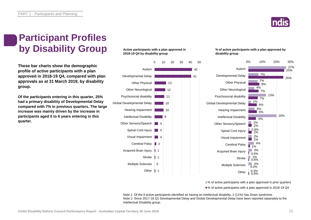### **Participant Profiles by Disability Group**

**These bar charts show the demographic profile of active participants with a plan approved in 2018-19 Q4, compared with plan approvals as at 31 March 2019, by disability group.**

**Of the participants entering in this quarter, 25% had a primary disability of Developmental Delay compared with 7% in previous quarters. The large increase was mainly driven by the increase in participants aged 0 to 6 years entering in this quarter.**

#### **Active participants with a plan approved in 2018-19 Q4 by disability group**



Intellectual Disability group.

Note 1: Of the 9 active participants identified as having an intellectual disability, 1 (11%) has Down syndrome.

Note 2: Since 2017-18 Q1 Developmental Delay and Global Developmental Delay have been reported separately to the

**% of active participants with a plan approved by disability group**



■% of active participants with a plan approved in prior quarters ■% of active participants with a plan approved in 2018-19 Q4

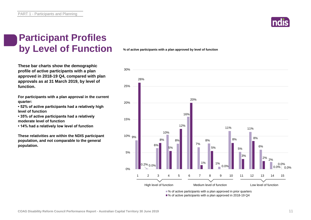### **Participant Profiles by Level of Function**

**These bar charts show the demographic profile of active participants with a plan approved in 2018-19 Q4, compared with plan approvals as at 31 March 2019, by level of function.**

**For participants with a plan approval in the current quarter:** 

**• 52% of active participants had a relatively high level of function**

**• 35% of active participants had a relatively moderate level of function** 

**• 14% had a relatively low level of function**

**These relativities are within the NDIS participant population, and not comparable to the general population.**

**% of active participants with a plan approved by level of function**



■% of active participants with a plan approved in prior quarters ■% of active participants with a plan approved in 2018-19 Q4

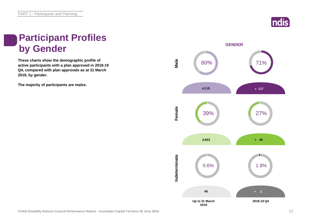

### **Participant Profiles by Gender**

**These charts show the demographic profile of active participants with a plan approved in 2018-19 Q4, compared with plan approvals as at 31 March 2019, by gender.**

**The majority of participants are males.**

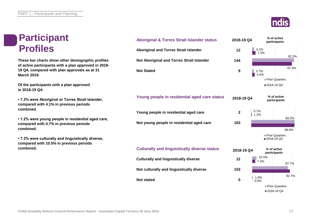#### **Participant Profiles**



| <b>Participant</b>                                                                                        | <b>Aboriginal &amp; Torres Strait Islander status</b> | 2018-19 Q4                   | % of active<br>participants          |
|-----------------------------------------------------------------------------------------------------------|-------------------------------------------------------|------------------------------|--------------------------------------|
| <b>Profiles</b>                                                                                           | <b>Aboriginal and Torres Strait Islander</b>          | 12                           | 4.1%<br>7.3%                         |
| These bar charts show other demographic profiles<br>of active participants with a plan approved in 2018-  | Not Aboriginal and Torres Strait Islander             | 144                          | 92.2%                                |
| 19 Q4, compared with plan approvals as at 31<br>March 2019.                                               | <b>Not Stated</b>                                     | 9                            | 87.3%<br>3.7%<br>5.5%                |
| Of the participants with a plan approved<br>in 2018-19 Q4:                                                |                                                       |                              | Prior Quarters<br>■2018-19 Q4        |
| • 7.3% were Aboriginal or Torres Strait Islander,<br>compared with 4.1% in previous periods               | Young people in residential aged care status          | 2018-19 Q4                   | % of active<br>participants          |
| combined.                                                                                                 | Young people in residential aged care                 | 0.7%<br>$\mathbf{2}$<br>1.2% |                                      |
| • 1.2% were young people in residential aged care,<br>compared with 0.7% in previous periods<br>combined. | Not young people in residential aged care             | 163                          | 99.3%<br>98.8%                       |
| • 7.3% were culturally and linguistically diverse,<br>compared with 10.5% in previous periods             |                                                       |                              | <b>Prior Quarters</b><br>■2018-19 Q4 |
| combined.                                                                                                 | <b>Culturally and linguistically diverse status</b>   | 2018-19 Q4                   | % of active<br>participants          |
|                                                                                                           | <b>Culturally and linguistically diverse</b>          | 12                           | 10.5%<br>7.3%<br>87.7%               |
|                                                                                                           | Not culturally and linguistically diverse             | 153                          |                                      |
|                                                                                                           | <b>Not stated</b>                                     | 1.8%<br>$\mathbf 0$<br>0.0%  | 92.7%                                |
|                                                                                                           |                                                       |                              | <b>Prior Quarters</b>                |
|                                                                                                           |                                                       |                              | ■2018-19 Q4                          |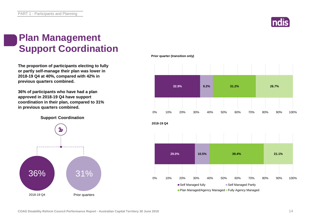

### **Plan Management Support Coordination**

**The proportion of participants electing to fully or partly self-manage their plan was lower in 2018-19 Q4 at 40%, compared with 42% in previous quarters combined.**

**36% of participants who have had a plan approved in 2018-19 Q4 have support coordination in their plan, compared to 31% in previous quarters combined.**

**Support Coordination**



**Prior quarter (transition only)**

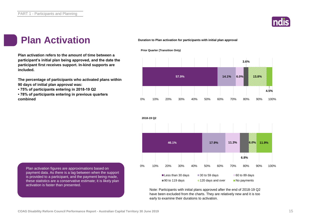

#### **Plan Activation Duration to Plan activation for participants with initial plan approval**

**Plan activation refers to the amount of time between a participant's initial plan being approved, and the date the participant first receives support. In-kind supports are included.**

**The percentage of participants who activated plans within 90 days of initial plan approval was:** 

**• 75% of participants entering in 2018-19 Q2**

**• 78% of participants entering in previous quarters combined**

**Prior Quarter (Transition Only)**





Note: Participants with initial plans approved after the end of 2018-19 Q2 have been excluded from the charts. They are relatively new and it is too early to examine their durations to activation.

Plan activation figures are approximations based on payment data. As there is a lag between when the support is provided to a participant, and the payment being made, these statistics are a conservative estimate; it is likely plan activation is faster than presented.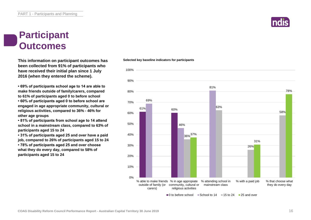

**This information on participant outcomes has Selected key baseline indicators for participants been collected from 91% of participants who have received their initial plan since 1 July 2016 (when they entered the scheme).**

**• 69% of participants school age to 14 are able to make friends outside of family/carers, compared to 61% of participants aged 0 to before school • 60% of participants aged 0 to before school are engaged in age appropriate community, cultural or religious activities, compared to 36% - 46% for other age groups**

**• 81% of participants from school age to 14 attend school in a mainstream class, compared to 63% of participants aged 15 to 24**

**• 31% of participants aged 25 and over have a paid job, compared to 26% of participants aged 15 to 24 • 78% of participants aged 25 and over choose what they do every day, compared to 58% of participants aged 15 to 24**



 $\Box$ 0 to before school  $\Box$  School to 14  $\Box$  15 to 24  $\Box$  25 and over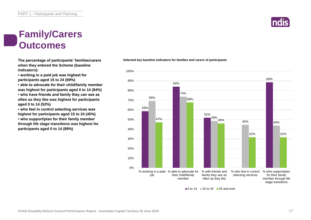#### **Family/Carers Outcomes**

**The percentage of participants' families/carers when they entered the Scheme (baseline indicators):**

**• working in a paid job was highest for participants aged 15 to 24 (69%)**

**• able to advocate for their child/family member was highest for participants aged 0 to 14 (84%) • who have friends and family they can see as often as they like was highest for participants aged 0 to 14 (52%)**

**• who feel in control selecting services was highest for participants aged 15 to 24 (45%) • who support/plan for their family member through life stage transitions was highest for participants aged 0 to 14 (89%)**

**Selected key baseline indicators for families and carers of participants**



#### $\blacksquare$ 0 to 14  $\blacksquare$  15 to 24  $\blacksquare$  25 and over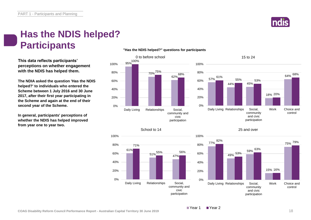

### **Has the NDIS helped? Participants**

**This data reflects participants' perceptions on whether engagement with the NDIS has helped them.**

**The NDIA asked the question 'Has the NDIS helped?' to individuals who entered the Scheme between 1 July 2016 and 30 June 2017, after their first year participating in the Scheme and again at the end of their second year of the Scheme.**

**In general, participants' perceptions of whether the NDIS has helped improved from year one to year two.**



#### **"Has the NDIS helped?" questions for participants**







#### 25 and over

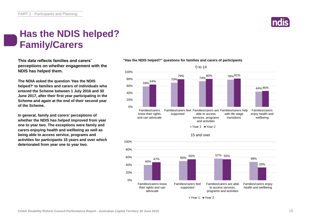#### **Has the NDIS helped? Family/Carers**

**This data reflects families and carers' perceptions on whether engagement with the NDIS has helped them.**

**The NDIA asked the question 'Has the NDIS helped?' to families and carers of individuals who entered the Scheme between 1 July 2016 and 30 June 2017, after their first year participating in the Scheme and again at the end of their second year of the Scheme.**

**In general, family and carers' perceptions of whether the NDIS has helped improved from year one to year two. The exceptions were family and carers enjoying health and wellbeing as well as being able to access service, programs and activities for participants 15 years and over which deteriorated from year one to year two.**

#### 59% 64% 70% 74% 78% 79% 80% 81% 44% 46% 0% 20% 40% 60% 80% 100% Families/carers know their rights and can advocate Families/carers feel Families/carers are Families/carers help supported able to access services, programs and activities with life stage transitions Families/carers enjoy health and wellbeing Year 1 Year 2 40% 50% 57% 55% 55% 47% 48% 33% 0% 20% 40% 60% 80% 100% Families/carers know their rights and can advocate Families/carers feel supported Families/carers are able to access services, programs and activities Families/carers enjoy health and wellbeing 15 and over ■ Year 1 ■ Year 2

0 to 14

#### **"Has the NDIS helped?" questions for families and carers of participants**

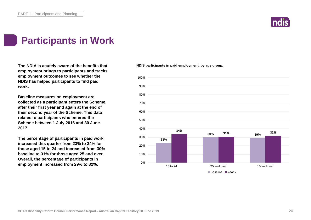

#### **Participants in Work**

**The NDIA is acutely aware of the benefits that employment brings to participants and tracks employment outcomes to see whether the NDIS has helped participants to find paid work.**

**Baseline measures on employment are collected as a participant enters the Scheme, after their first year and again at the end of their second year of the Scheme. This data relates to participants who entered the Scheme between 1 July 2016 and 30 June 2017.**

**The percentage of participants in paid work increased this quarter from 23% to 34% for those aged 15 to 24 and increased from 30% baseline to 31% for those aged 25 and over. Overall, the percentage of participants in employment increased from 29% to 32%.**

**NDIS participants in paid employment, by age group.**

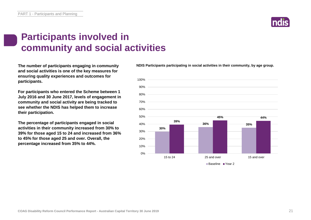

#### **Participants involved in community and social activities**

**The number of participants engaging in community and social activities is one of the key measures for ensuring quality experiences and outcomes for participants.**

**For participants who entered the Scheme between 1 July 2016 and 30 June 2017, levels of engagement in community and social activity are being tracked to see whether the NDIS has helped them to increase their participation.**

**The percentage of participants engaged in social activities in their community increased from 30% to 39% for those aged 15 to 24 and increased from 36% to 45% for those aged 25 and over. Overall, the percentage increased from 35% to 44%.**

**NDIS Participants participating in social activities in their community, by age group.**

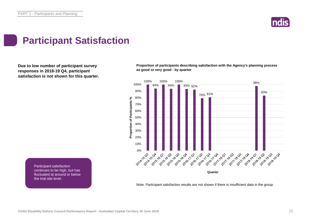

#### **Participant Satisfaction**

**Due to low number of participant survey responses in 2018-19 Q4, participant satisfaction is not shown for this quarter.**

**Proportion of participants describing satisfaction with the Agency's planning process as good or very good - by quarter**



Note: Participant satisfaction results are not shown if there is insufficient data in the group.

Participant satisfaction continues to be high, but has fluctuated at around or below the trial site level.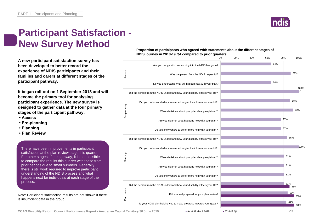

#### **Participant Satisfaction - New Survey Method**

**A new participant satisfaction survey has been developed to better record the experience of NDIS participants and their families and carers at different stages of the participant pathway.**

**It began roll-out on 1 September 2018 and will become the primary tool for analysing participant experience. The new survey is designed to gather data at the four primary stages of the participant pathway:**

- **Access**
- **Pre-planning**
- **Planning**
- **Plan Review**

There have been improvements in participant satisfaction at the plan review stage this quarter. For other stages of the pathway, it is not possible to compare the results this quarter with those from prior periods due to small numbers. Generally there is still work required to improve participant understanding of the NDIS process and what happens next for individuals at each stage of the process.

Note: Participant satisfaction results are not shown if there is insufficient data in the group.

**Proportion of participants who agreed with statements about the different stages of NDIS journey in 2018-19 Q4 compared to prior quarters**



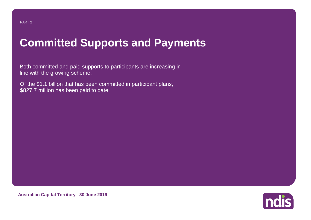## **Committed Supports and Payments**

Both committed and paid supports to participants are increasing in line with the growing scheme.

Of the \$1.1 billion that has been committed in participant plans, \$827.7 million has been paid to date.

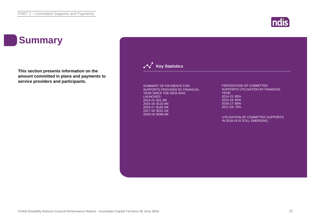

## **Summary**

**This section presents information on the amount committed in plans and payments to service providers and participants.**

**Key Statistics** 

SUMMARY OF PAYMENTS FOR SUPPORTS PROVIDED BY FINANCIAL YEAR SINCE THE NDIS WAS LAUNCHED: 2014-15: \$21.3M 2015-16: \$116.4M 2016-17: \$192.5M 2017-18: \$231.1M 2018-19: \$266.4M

PERCENTAGE OF COMMITTED SUPPORTS UTILISATION BY FINANCIAL YEAR: 2014-15: 80% 2015-16: 84% 2016-17: 68% 2017-18: 72%

UTILISATION OF COMMITTED SUPPORTS IN 2018-19 IS STILL EMERGING.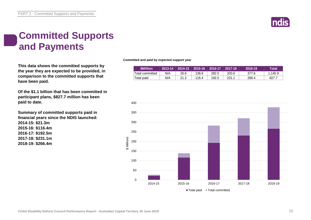

### **Committed Supports and Payments**

**This data shows the committed supports by the year they are expected to be provided, in comparison to the committed supports that have been paid.**

**Of the \$1.1 billion that has been committed in participant plans, \$827.7 million has been paid to date.**

**Summary of committed supports paid in financial years since the NDIS launched: 2014-15: \$21.3m 2015-16: \$116.4m 2016-17: \$192.5m 2017-18: \$231.1m 2018-19: \$266.4m**

**Committed and paid by expected support year**

| <b>SMillion</b> | 2013-14 | 2014-15 | 2015-16 | 2016-17 | 【 │ 2017-18 】 | 2018-19 | Total'  |
|-----------------|---------|---------|---------|---------|---------------|---------|---------|
| Total committed | N/A     | 26.6    | 138.6   | 282.5   | 320.6         | 377.6   | 1.145.9 |
| Total paid      | N/A     | 21.3    | 116.4   | 192.5   | 231.1         | 266.4   | 827.7   |

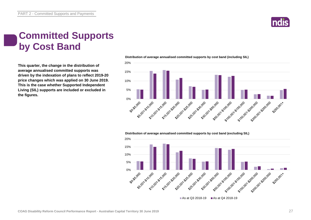

### **Committed Supports by Cost Band**

**This quarter, the change in the distribution of average annualised committed supports was driven by the indexation of plans to reflect 2019-20 price changes which was applied on 30 June 2019. This is the case whether Supported Independent Living (SIL) supports are included or excluded in the figures.**



#### **Distribution of average annualised committed supports by cost band (including SIL)**

**Distribution of average annualised committed supports by cost band (excluding SIL)** 

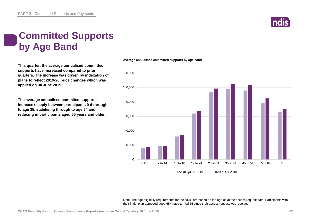### **Committed Supports by Age Band**

**This quarter, the average annualised committed supports have increased compared to prior quarters. The increase was driven by indexation of plans to reflect 2019-20 price changes which was applied on 30 June 2019.**

**The average annualised commited supports increase steeply between participants 0-6 through to age 35, stabilising through to age 54 and reducing in participants aged 55 years and older.**

0 20,000 40,000 60,000 80,000 100,000 120,000 0 to 6 7 to 14 15 to 18 19 to 24 25 to 34 35 to 44 45 to 54 55 to 64 65+ As at Q3 2018-19  $\blacksquare$  As at Q4 2018-19

**Average annualised committed supports by age band**

Note: The age eligibility requirements for the NDIS are based on the age as at the access request date. Participants with their initial plan approved aged 65+ have turned 65 since their access request was received.

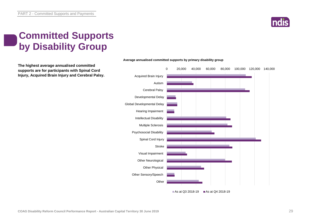

### **Committed Supports by Disability Group**

**The highest average annualised committed supports are for participants with Spinal Cord Injury, Acquired Brain Injury and Cerebral Palsy.**



#### **Average annualised committed supports by primary disability group**

As at Q3 2018-19 As at Q4 2018-19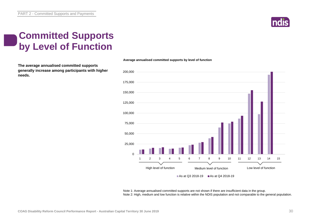

### **Committed Supports by Level of Function**

**The average annualised committed supports generally increase among participants with higher needs.**



Note 1: Average annualised committed supports are not shown if there are insufficient data in the group. Note 2: High, medium and low function is relative within the NDIS population and not comparable to the general population.

**Average annualised committed supports by level of function**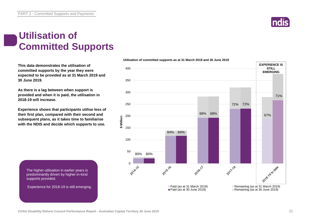#### **Utilisation of Committed Supports**

**This data demonstrates the utilisation of committed supports by the year they were expected to be provided as at 31 March 2019 and 30 June 2019.** 

**As there is a lag between when support is provided and when it is paid, the utilisation in 2018-19 will increase.**

**Experience shows that participants utilise less of their first plan, compared with their second and subsequent plans, as it takes time to familiarise with the NDIS and decide which supports to use.** 

The higher utilisation in earlier years is predominantly driven by higher in-kind supports provided.

Experience for 2018-19 is still emerging.



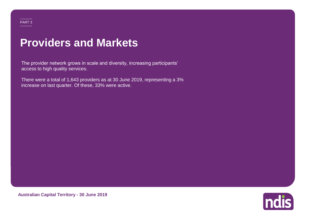### **Providers and Markets**

The provider network grows in scale and diversity, increasing participants' access to high quality services.

There were a total of 1,643 providers as at 30 June 2019, representing a 3% increase on last quarter. Of these, 33% were active.

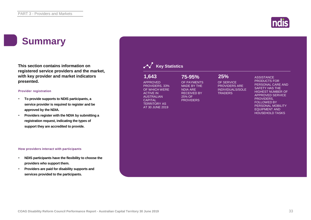### **Summary**

**This section contains information on registered service providers and the market, with key provider and market indicators presented.**

#### **Provider registration**

- **To provide supports to NDIS participants, a service provider is required to register and be approved by the NDIA.**
- **Providers register with the NDIA by submitting a registration request, indicating the types of support they are accredited to provide.**

#### **How providers interact with participants**

- **NDIS participants have the flexibility to choose the providers who support them.**
- **Providers are paid for disability supports and services provided to the participants.**

| 1,643<br><b>APPROVED</b><br>PROVIDERS, 33%<br>OF WHICH WERE<br><b>ACTIVE IN</b><br><b>AUSTRALIAN</b><br><b>CAPITAL</b><br><b>TERRITORY AS</b><br>AT 30 JUNE 2019 | 75-95%<br>OF PAYMENTS<br><b>MADE BY THE</b><br><b>NDIA ARE</b><br><b>RECEIVED BY</b><br>25% OF<br><b>PROVIDERS</b> | 25%<br>OF SERVICE<br><b>PROVIDERS ARE</b><br><b>INDIVIDUALS/SOLE</b><br><b>TRADERS</b> | <b>ASSISTANCE</b><br><b>PRODUCTS FOR</b><br>PERSONAL CARE AND<br><b>SAFETY HAS THE</b><br><b>HIGHEST NUMBER OF</b><br><b>APPROVED SERVICE</b><br>PROVIDERS.<br><b>FOLLOWED BY</b><br>PERSONAL MOBILITY<br><b>EQUIPMENT AND</b><br><b>HOUSEHOLD TASKS</b> |
|------------------------------------------------------------------------------------------------------------------------------------------------------------------|--------------------------------------------------------------------------------------------------------------------|----------------------------------------------------------------------------------------|----------------------------------------------------------------------------------------------------------------------------------------------------------------------------------------------------------------------------------------------------------|
|                                                                                                                                                                  |                                                                                                                    |                                                                                        |                                                                                                                                                                                                                                                          |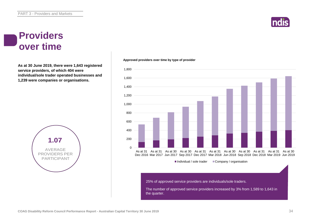#### **Providers over time**

**As at 30 June 2019, there were 1,643 registered service providers, of which 404 were individual/sole trader operated businesses and 1,239 were companies or organisations.**



#### **Approved providers over time by type of provider**



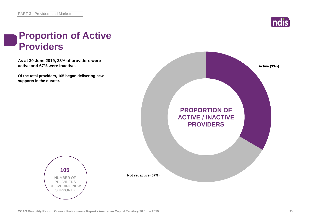

### **Proportion of Active Providers**

**As at 30 June 2019, 33% of providers were active and 67% were inactive.**

**Of the total providers, 105 began delivering new supports in the quarter.**





**Not yet active (67%)**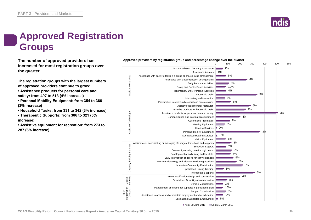

### **Approved Registration Groups**

**The number of approved providers has** *Approved providers by registration group and percentage change over the quarter***<br>
<b>100** 200 **increased for most registration groups over the quarter.**

**The registration groups with the largest numbers of approved providers continue to grow:**

- **Assistance products for personal care and safety: from 497 to 513 (4% increase)**
- **Personal Mobility Equipment: from 354 to 366 (3% increase)**
- **Household Tasks: from 331 to 342 (3% increase)**
- **Therapeutic Supports: from 306 to 321 (5% increase)**
- **Assistive equipment for recreation: from 273 to 287 (5% increase)**



As at 30 June 2019 As at 31 March 2019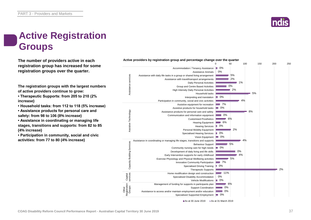

## **Active Registration Groups**

**The number of providers active in each registration group has increased for some registration groups over the quarter.**

**The registration groups with the largest numbers of active providers continue to grow:**

**• Therapeutic Supports: from 205 to 210 (2% increase)**

**• Household tasks: from 112 to 118 (5% increase)**

**• Assistance products for personal care and safety: from 98 to 106 (8% increase)**

**• Assistance in coordinating or managing life stages, transitions and supports: from 82 to 85 (4% increase)**

**• Participation in community, social and civic activities: from 77 to 80 (4% increase)**



**Active providers by registration group and percentage change over the quarter**

As at 30 June 2019 As at 31 March 2019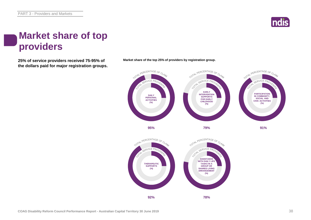

### **Market share of top providers**

**25% of service providers received 75-95% of Market share of the top 25% of providers by registration group. the dollars paid for major registration groups.**

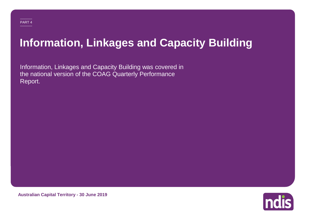# **Information, Linkages and Capacity Building**

Information, Linkages and Capacity Building was covered in the national version of the COAG Quarterly Performance Report.



**Australian Capital Territory - 30 June 2019**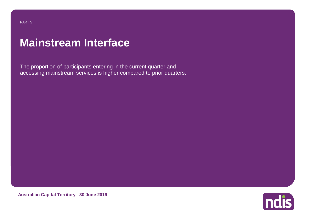## **Mainstream Interface**

The proportion of participants entering in the current quarter and accessing mainstream services is higher compared to prior quarters.



**Australian Capital Territory - 30 June 2019**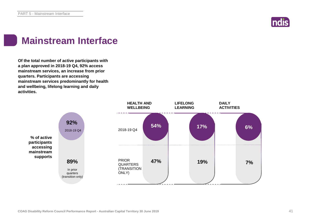

#### **Mainstream Interface**

**Of the total number of active participants with a plan approved in 2018-19 Q4, 92% access mainstream services, an increase from prior quarters. Participants are accessing mainstream services predominantly for health and wellbeing, lifelong learning and daily activities.**